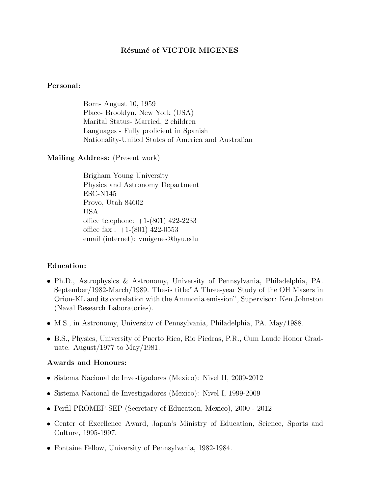## Résumé of VICTOR MIGENES

#### Personal:

Born- August 10, 1959 Place- Brooklyn, New York (USA) Marital Status- Married, 2 children Languages - Fully proficient in Spanish Nationality-United States of America and Australian

#### Mailing Address: (Present work)

Brigham Young University Physics and Astronomy Department ESC-N145 Provo, Utah 84602 USA office telephone: +1-(801) 422-2233 office fax :  $+1-(801)$  422-0553 email (internet): vmigenes@byu.edu

#### Education:

- Ph.D., Astrophysics & Astronomy, University of Pennsylvania, Philadelphia, PA. September/1982-March/1989. Thesis title:"A Three-year Study of the OH Masers in Orion-KL and its correlation with the Ammonia emission", Supervisor: Ken Johnston (Naval Research Laboratories).
- M.S., in Astronomy, University of Pennsylvania, Philadelphia, PA. May/1988.
- B.S., Physics, University of Puerto Rico, Rio Piedras, P.R., Cum Laude Honor Graduate. August/1977 to May/1981.

### Awards and Honours:

- Sistema Nacional de Investigadores (Mexico): Nivel II, 2009-2012
- Sistema Nacional de Investigadores (Mexico): Nivel I, 1999-2009
- Perfil PROMEP-SEP (Secretary of Education, Mexico), 2000 2012
- Center of Excellence Award, Japan's Ministry of Education, Science, Sports and Culture, 1995-1997.
- Fontaine Fellow, University of Pennsylvania, 1982-1984.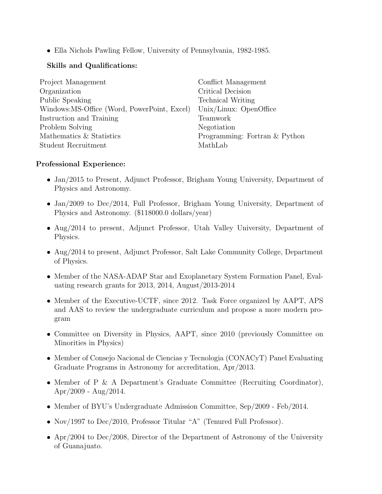• Ella Nichols Pawling Fellow, University of Pennsylvania, 1982-1985.

# Skills and Qualifications:

| Project Management                          | Conflict Management           |
|---------------------------------------------|-------------------------------|
| Organization                                | Critical Decision             |
| Public Speaking                             | <b>Technical Writing</b>      |
| Windows:MS-Office (Word, PowerPoint, Excel) | Unix/Linux: OpenOffice        |
| Instruction and Training                    | Teamwork                      |
| Problem Solving                             | Negotiation                   |
| Mathematics & Statistics                    | Programming: Fortran & Python |
| Student Recruitment                         | MathLab                       |

# Professional Experience:

- Jan/2015 to Present, Adjunct Professor, Brigham Young University, Department of Physics and Astronomy.
- Jan/2009 to Dec/2014, Full Professor, Brigham Young University, Department of Physics and Astronomy. (\$118000.0 dollars/year)
- Aug/2014 to present, Adjunct Professor, Utah Valley University, Department of Physics.
- Aug/2014 to present, Adjunct Professor, Salt Lake Community College, Department of Physics.
- Member of the NASA-ADAP Star and Exoplanetary System Formation Panel, Evaluating research grants for 2013, 2014, August/2013-2014
- Member of the Executive-UCTF, since 2012. Task Force organized by AAPT, APS and AAS to review the undergraduate curriculum and propose a more modern program
- Committee on Diversity in Physics, AAPT, since 2010 (previously Committee on Minorities in Physics)
- Member of Consejo Nacional de Ciencias y Tecnologia (CONACyT) Panel Evaluating Graduate Programs in Astronomy for accreditation, Apr/2013.
- Member of P & A Department's Graduate Committee (Recruiting Coordinator), Apr/2009 - Aug/2014.
- Member of BYU's Undergraduate Admission Committee, Sep/2009 Feb/2014.
- Nov/1997 to Dec/2010, Professor Titular "A" (Tenured Full Professor).
- Apr/2004 to Dec/2008, Director of the Department of Astronomy of the University of Guanajuato.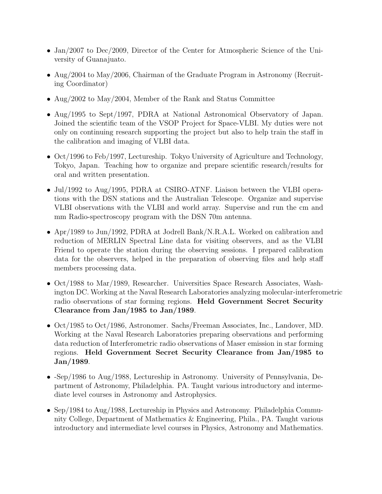- Jan/2007 to Dec/2009, Director of the Center for Atmospheric Science of the University of Guanajuato.
- Aug/2004 to May/2006, Chairman of the Graduate Program in Astronomy (Recruiting Coordinator)
- Aug/2002 to May/2004, Member of the Rank and Status Committee
- Aug/1995 to Sept/1997, PDRA at National Astronomical Observatory of Japan. Joined the scientific team of the VSOP Project for Space-VLBI. My duties were not only on continuing research supporting the project but also to help train the staff in the calibration and imaging of VLBI data.
- Oct/1996 to Feb/1997, Lectureship. Tokyo University of Agriculture and Technology, Tokyo, Japan. Teaching how to organize and prepare scientific research/results for oral and written presentation.
- Jul/1992 to Aug/1995, PDRA at CSIRO-ATNF. Liaison between the VLBI operations with the DSN stations and the Australian Telescope. Organize and supervise VLBI observations with the VLBI and world array. Supervise and run the cm and mm Radio-spectroscopy program with the DSN 70m antenna.
- Apr/1989 to Jun/1992, PDRA at Jodrell Bank/N.R.A.L. Worked on calibration and reduction of MERLIN Spectral Line data for visiting observers, and as the VLBI Friend to operate the station during the observing sessions. I prepared calibration data for the observers, helped in the preparation of observing files and help staff members processing data.
- Oct/1988 to Mar/1989, Researcher. Universities Space Research Associates, Washington DC. Working at the Naval Research Laboratories analyzing molecular-interferometric radio observations of star forming regions. Held Government Secret Security Clearance from Jan/1985 to Jan/1989.
- Oct/1985 to Oct/1986, Astronomer. Sachs/Freeman Associates, Inc., Landover, MD. Working at the Naval Research Laboratories preparing observations and performing data reduction of Interferometric radio observations of Maser emission in star forming regions. Held Government Secret Security Clearance from Jan/1985 to Jan/1989.
- -Sep/1986 to Aug/1988, Lectureship in Astronomy. University of Pennsylvania, Department of Astronomy, Philadelphia. PA. Taught various introductory and intermediate level courses in Astronomy and Astrophysics.
- Sep/1984 to Aug/1988, Lectureship in Physics and Astronomy. Philadelphia Community College, Department of Mathematics & Engineering, Phila., PA. Taught various introductory and intermediate level courses in Physics, Astronomy and Mathematics.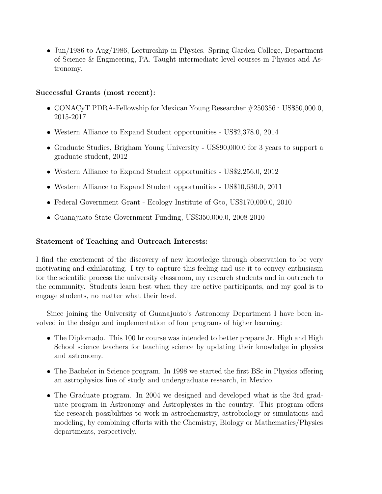• Jun/1986 to Aug/1986, Lectureship in Physics. Spring Garden College, Department of Science & Engineering, PA. Taught intermediate level courses in Physics and Astronomy.

## Successful Grants (most recent):

- CONACyT PDRA-Fellowship for Mexican Young Researcher #250356 : US\$50,000.0, 2015-2017
- Western Alliance to Expand Student opportunities US\$2,378.0, 2014
- Graduate Studies, Brigham Young University US\$90,000.0 for 3 years to support a graduate student, 2012
- Western Alliance to Expand Student opportunities US\$2,256.0, 2012
- Western Alliance to Expand Student opportunities US\$10,630.0, 2011
- Federal Government Grant Ecology Institute of Gto, US\$170,000.0, 2010
- Guanajuato State Government Funding, US\$350,000.0, 2008-2010

## Statement of Teaching and Outreach Interests:

I find the excitement of the discovery of new knowledge through observation to be very motivating and exhilarating. I try to capture this feeling and use it to convey enthusiasm for the scientific process the university classroom, my research students and in outreach to the community. Students learn best when they are active participants, and my goal is to engage students, no matter what their level.

Since joining the University of Guanajuato's Astronomy Department I have been involved in the design and implementation of four programs of higher learning:

- The Diplomado. This 100 hr course was intended to better prepare Jr. High and High School science teachers for teaching science by updating their knowledge in physics and astronomy.
- The Bachelor in Science program. In 1998 we started the first BSc in Physics offering an astrophysics line of study and undergraduate research, in Mexico.
- The Graduate program. In 2004 we designed and developed what is the 3rd graduate program in Astronomy and Astrophysics in the country. This program offers the research possibilities to work in astrochemistry, astrobiology or simulations and modeling, by combining efforts with the Chemistry, Biology or Mathematics/Physics departments, respectively.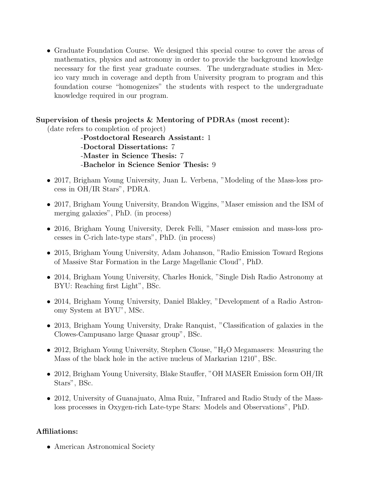• Graduate Foundation Course. We designed this special course to cover the areas of mathematics, physics and astronomy in order to provide the background knowledge necessary for the first year graduate courses. The undergraduate studies in Mexico vary much in coverage and depth from University program to program and this foundation course "homogenizes" the students with respect to the undergraduate knowledge required in our program.

# Supervision of thesis projects & Mentoring of PDRAs (most recent):

(date refers to completion of project)

-Postdoctoral Research Assistant: 1 -Doctoral Dissertations: 7 -Master in Science Thesis: 7 -Bachelor in Science Senior Thesis: 9

- 2017, Brigham Young University, Juan L. Verbena, "Modeling of the Mass-loss process in OH/IR Stars", PDRA.
- 2017, Brigham Young University, Brandon Wiggins, "Maser emission and the ISM of merging galaxies", PhD. (in process)
- 2016, Brigham Young University, Derek Felli, "Maser emission and mass-loss processes in C-rich late-type stars", PhD. (in process)
- 2015, Brigham Young University, Adam Johanson, "Radio Emission Toward Regions of Massive Star Formation in the Large Magellanic Cloud", PhD.
- 2014, Brigham Young University, Charles Honick, "Single Dish Radio Astronomy at BYU: Reaching first Light", BSc.
- 2014, Brigham Young University, Daniel Blakley, "Development of a Radio Astronomy System at BYU", MSc.
- 2013, Brigham Young University, Drake Ranquist, "Classification of galaxies in the Clowes-Campusano large Quasar group", BSc.
- 2012, Brigham Young University, Stephen Clouse, " $H_2O$  Megamasers: Measuring the Mass of the black hole in the active nucleus of Markarian 1210", BSc.
- 2012, Brigham Young University, Blake Stauffer, "OH MASER Emission form OH/IR Stars", BSc.
- 2012, University of Guanajuato, Alma Ruiz, "Infrared and Radio Study of the Massloss processes in Oxygen-rich Late-type Stars: Models and Observations", PhD.

## Affiliations:

• American Astronomical Society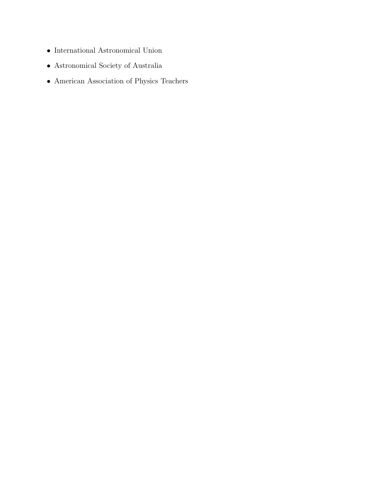- $\bullet~$  International Astronomical Union
- $\bullet\,$  Astronomical Society of Australia
- American Association of Physics Teachers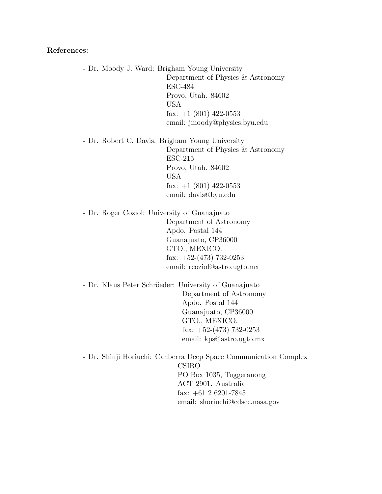#### References:

- Dr. Moody J. Ward: Brigham Young University Department of Physics & Astronomy ESC-484 Provo, Utah. 84602 USA fax:  $+1$  (801) 422-0553 email: jmoody@physics.byu.edu

- Dr. Robert C. Davis: Brigham Young University Department of Physics & Astronomy ESC-215 Provo, Utah. 84602 USA fax:  $+1$  (801) 422-0553 email: davis@byu.edu

- Dr. Roger Coziol: University of Guanajuato Department of Astronomy Apdo. Postal 144 Guanajuato, CP36000 GTO., MEXICO. fax:  $+52-(473)$  732-0253 email: rcoziol@astro.ugto.mx

- Dr. Klaus Peter Schröeder: University of Guanajuato Department of Astronomy Apdo. Postal 144 Guanajuato, CP36000 GTO., MEXICO. fax:  $+52-(473)$  732-0253 email: kps@astro.ugto.mx

- Dr. Shinji Horiuchi: Canberra Deep Space Communication Complex CSIRO PO Box 1035, Tuggeranong ACT 2901. Australia fax:  $+61$  2 6201-7845 email: shoriuchi@cdscc.nasa.gov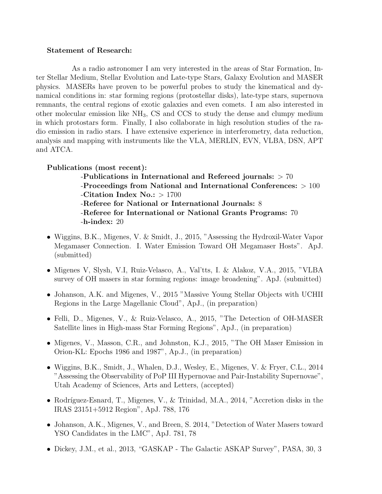#### Statement of Research:

As a radio astronomer I am very interested in the areas of Star Formation, Inter Stellar Medium, Stellar Evolution and Late-type Stars, Galaxy Evolution and MASER physics. MASERs have proven to be powerful probes to study the kinematical and dynamical conditions in: star forming regions (protostellar disks), late-type stars, supernova remnants, the central regions of exotic galaxies and even comets. I am also interested in other molecular emission like NH3, CS and CCS to study the dense and clumpy medium in which protostars form. Finally, I also collaborate in high resolution studies of the radio emission in radio stars. I have extensive experience in interferometry, data reduction, analysis and mapping with instruments like the VLA, MERLIN, EVN, VLBA, DSN, APT and ATCA.

Publications (most recent):

-Publications in International and Refereed journals: > 70 -Proceedings from National and International Conferences: > 100 -Citation Index No.: > 1700 -Referee for National or International Journals: 8 -Referee for International or National Grants Programs: 70 -h-index: 20

- Wiggins, B.K., Migenes, V. & Smidt, J., 2015, "Assessing the Hydroxil-Water Vapor Megamaser Connection. I. Water Emission Toward OH Megamaser Hosts". ApJ. (submitted)
- Migenes V, Slysh, V.I, Ruiz-Velasco, A., Val'tts, I. & Alakoz, V.A., 2015, "VLBA survey of OH masers in star forming regions: image broadening". ApJ. (submitted)
- Johanson, A.K. and Migenes, V., 2015 "Massive Young Stellar Objects with UCHII Regions in the Large Magellanic Cloud", ApJ., (in preparation)
- Felli, D., Migenes, V., & Ruiz-Velasco, A., 2015, "The Detection of OH-MASER Satellite lines in High-mass Star Forming Regions", ApJ., (in preparation)
- Migenes, V., Masson, C.R., and Johnston, K.J., 2015, "The OH Maser Emission in Orion-KL: Epochs 1986 and 1987", Ap.J., (in preparation)
- Wiggins, B.K., Smidt, J., Whalen, D.J., Wesley, E., Migenes, V. & Fryer, C.L., 2014 "Assessing the Observability of PoP III Hypernovae and Pair-Instability Supernovae", Utah Academy of Sciences, Arts and Letters, (accepted)
- Rodríguez-Esnard, T., Migenes, V., & Trinidad, M.A., 2014, "Accretion disks in the IRAS 23151+5912 Region", ApJ. 788, 176
- Johanson, A.K., Migenes, V., and Breen, S. 2014, "Detection of Water Masers toward YSO Candidates in the LMC", ApJ. 781, 78
- Dickey, J.M., et al., 2013, "GASKAP The Galactic ASKAP Survey", PASA, 30, 3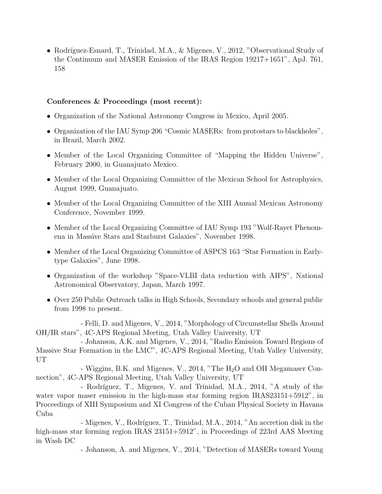• Rodríguez-Esnard, T., Trinidad, M.A., & Migenes, V., 2012, "Observational Study of the Continuum and MASER Emission of the IRAS Region 19217+1651", ApJ. 761, 158

## Conferences & Proceedings (most recent):

- Organization of the National Astronomy Congress in Mexico, April 2005.
- Organization of the IAU Symp 206 "Cosmic MASERs: from protostars to blackholes", in Brazil, March 2002.
- Member of the Local Organizing Committee of "Mapping the Hidden Universe", February 2000, in Guanajuato Mexico.
- Member of the Local Organizing Committee of the Mexican School for Astrophysics, August 1999, Guanajuato.
- Member of the Local Organizing Committee of the XIII Annual Mexican Astronomy Conference, November 1999.
- Member of the Local Organizing Committee of IAU Symp 193 "Wolf-Rayet Phenomena in Massive Stars and Starburst Galaxies", November 1998.
- Member of the Local Organizing Committee of ASPCS 163 "Star Formation in Earlytype Galaxies", June 1998.
- Organization of the workshop "Space-VLBI data reduction with AIPS", National Astronomical Observatory, Japan, March 1997.
- Over 250 Public Outreach talks in High Schools, Secondary schools and general public from 1998 to present.

- Felli, D. and Migenes, V., 2014, "Morphology of Circumstellar Shells Around OH/IR stars", 4C-APS Regional Meeting, Utah Valley University, UT

- Johanson, A.K. and Migenes, V., 2014, "Radio Emission Toward Regions of Massive Star Formation in the LMC", 4C-APS Regional Meeting, Utah Valley University, UT

- Wiggins, B.K. and Migenes, V., 2014, "The  $H_2O$  and OH Megamaser Connection", 4C-APS Regional Meeting, Utah Valley University, UT

- Rodríguez, T., Migenes, V. and Trinidad, M.A., 2014, "A study of the water vapor maser emission in the high-mass star forming region IRAS23151+5912", in Proceedings of XIII Symposium and XI Congress of the Cuban Physical Society in Havana Cuba

- Migenes, V., Rodríguez, T., Trinidad, M.A., 2014, "An accretion disk in the high-mass star forming region IRAS 23151+5912", in Proceedings of 223rd AAS Meeting in Wash DC

- Johanson, A. and Migenes, V., 2014, "Detection of MASERs toward Young